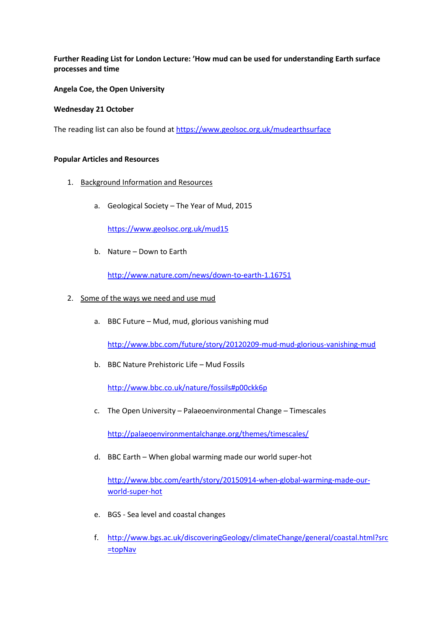# **Further Reading List for London Lecture: 'How mud can be used for understanding Earth surface processes and time**

## **Angela Coe, the Open University**

### **Wednesday 21 October**

The reading list can also be found a[t https://www.geolsoc.org.uk/mudearthsurface](https://www.geolsoc.org.uk/mudearthsurface)

### **Popular Articles and Resources**

- 1. Background Information and Resources
	- a. Geological Society The Year of Mud, 2015

<https://www.geolsoc.org.uk/mud15>

b. Nature – Down to Earth

<http://www.nature.com/news/down-to-earth-1.16751>

- 2. Some of the ways we need and use mud
	- a. BBC Future Mud, mud, glorious vanishing mud

<http://www.bbc.com/future/story/20120209-mud-mud-glorious-vanishing-mud>

b. BBC Nature Prehistoric Life – Mud Fossils

<http://www.bbc.co.uk/nature/fossils#p00ckk6p>

c. The Open University – Palaeoenvironmental Change – Timescales

<http://palaeoenvironmentalchange.org/themes/timescales/>

d. BBC Earth – When global warming made our world super-hot

[http://www.bbc.com/earth/story/20150914-when-global-warming-made-our](http://www.bbc.com/earth/story/20150914-when-global-warming-made-our-world-super-hot)[world-super-hot](http://www.bbc.com/earth/story/20150914-when-global-warming-made-our-world-super-hot)

- e. BGS Sea level and coastal changes
- f. [http://www.bgs.ac.uk/discoveringGeology/climateChange/general/coastal.html?src](http://www.bgs.ac.uk/discoveringGeology/climateChange/general/coastal.html?src=topNav) [=topNav](http://www.bgs.ac.uk/discoveringGeology/climateChange/general/coastal.html?src=topNav)